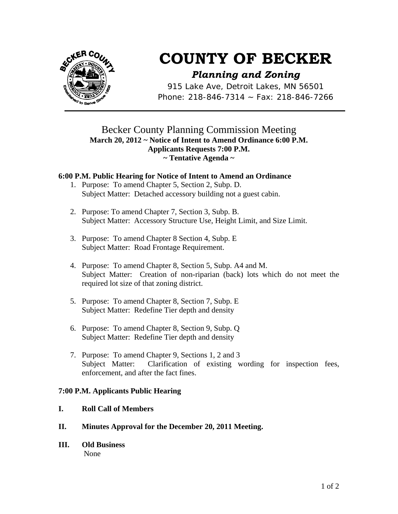

# **COUNTY OF BECKER**

# *Planning and Zoning*

*915 Lake Ave, Detroit Lakes, MN 56501 Phone: 218-846-7314 ~ Fax: 218-846-7266* 

# Becker County Planning Commission Meeting **March 20, 2012 ~ Notice of Intent to Amend Ordinance 6:00 P.M. Applicants Requests 7:00 P.M. ~ Tentative Agenda ~**

## **6:00 P.M. Public Hearing for Notice of Intent to Amend an Ordinance**

- 1. Purpose: To amend Chapter 5, Section 2, Subp. D. Subject Matter: Detached accessory building not a guest cabin.
- 2. Purpose: To amend Chapter 7, Section 3, Subp. B. Subject Matter: Accessory Structure Use, Height Limit, and Size Limit.
- 3. Purpose: To amend Chapter 8 Section 4, Subp. E Subject Matter: Road Frontage Requirement.
- 4. Purpose: To amend Chapter 8, Section 5, Subp. A4 and M. Subject Matter: Creation of non-riparian (back) lots which do not meet the required lot size of that zoning district.
- 5. Purpose: To amend Chapter 8, Section 7, Subp. E Subject Matter: Redefine Tier depth and density
- 6. Purpose: To amend Chapter 8, Section 9, Subp. Q Subject Matter: Redefine Tier depth and density
- 7. Purpose: To amend Chapter 9, Sections 1, 2 and 3 Subject Matter: Clarification of existing wording for inspection fees, enforcement, and after the fact fines.

#### **7:00 P.M. Applicants Public Hearing**

#### **I. Roll Call of Members**

- **II. Minutes Approval for the December 20, 2011 Meeting.**
- **III. Old Business**  None